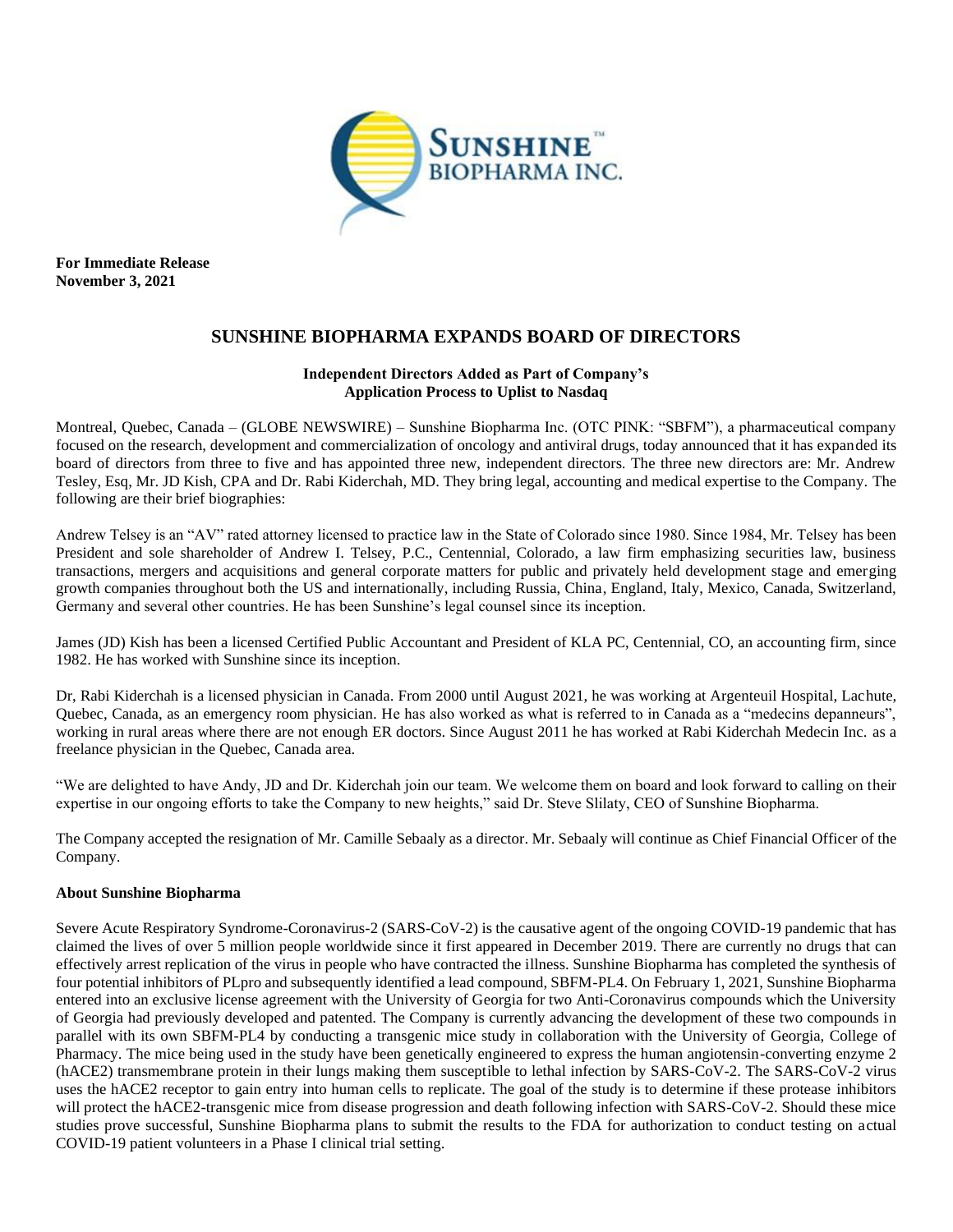

**For Immediate Release November 3, 2021**

# **SUNSHINE BIOPHARMA EXPANDS BOARD OF DIRECTORS**

## **Independent Directors Added as Part of Company's Application Process to Uplist to Nasdaq**

Montreal, Quebec, Canada – (GLOBE NEWSWIRE) – Sunshine Biopharma Inc. (OTC PINK: "SBFM"), a pharmaceutical company focused on the research, development and commercialization of oncology and antiviral drugs, today announced that it has expanded its board of directors from three to five and has appointed three new, independent directors. The three new directors are: Mr. Andrew Tesley, Esq, Mr. JD Kish, CPA and Dr. Rabi Kiderchah, MD. They bring legal, accounting and medical expertise to the Company. The following are their brief biographies:

Andrew Telsey is an "AV" rated attorney licensed to practice law in the State of Colorado since 1980. Since 1984, Mr. Telsey has been President and sole shareholder of Andrew I. Telsey, P.C., Centennial, Colorado, a law firm emphasizing securities law, business transactions, mergers and acquisitions and general corporate matters for public and privately held development stage and emerging growth companies throughout both the US and internationally, including Russia, China, England, Italy, Mexico, Canada, Switzerland, Germany and several other countries. He has been Sunshine's legal counsel since its inception.

James (JD) Kish has been a licensed Certified Public Accountant and President of KLA PC, Centennial, CO, an accounting firm, since 1982. He has worked with Sunshine since its inception.

Dr, Rabi Kiderchah is a licensed physician in Canada. From 2000 until August 2021, he was working at Argenteuil Hospital, Lachute, Quebec, Canada, as an emergency room physician. He has also worked as what is referred to in Canada as a "medecins depanneurs", working in rural areas where there are not enough ER doctors. Since August 2011 he has worked at Rabi Kiderchah Medecin Inc. as a freelance physician in the Quebec, Canada area.

"We are delighted to have Andy, JD and Dr. Kiderchah join our team. We welcome them on board and look forward to calling on their expertise in our ongoing efforts to take the Company to new heights," said Dr. Steve Slilaty, CEO of Sunshine Biopharma.

The Company accepted the resignation of Mr. Camille Sebaaly as a director. Mr. Sebaaly will continue as Chief Financial Officer of the Company.

## **About Sunshine Biopharma**

Severe Acute Respiratory Syndrome-Coronavirus-2 (SARS-CoV-2) is the causative agent of the ongoing COVID-19 pandemic that has claimed the lives of over 5 million people worldwide since it first appeared in December 2019. There are currently no drugs that can effectively arrest replication of the virus in people who have contracted the illness. Sunshine Biopharma has completed the synthesis of four potential inhibitors of PLpro and subsequently identified a lead compound, SBFM-PL4. On February 1, 2021, Sunshine Biopharma entered into an exclusive license agreement with the University of Georgia for two Anti-Coronavirus compounds which the University of Georgia had previously developed and patented. The Company is currently advancing the development of these two compounds in parallel with its own SBFM-PL4 by conducting a transgenic mice study in collaboration with the University of Georgia, College of Pharmacy. The mice being used in the study have been genetically engineered to express the human angiotensin-converting enzyme 2 (hACE2) transmembrane protein in their lungs making them susceptible to lethal infection by SARS-CoV-2. The SARS-CoV-2 virus uses the hACE2 receptor to gain entry into human cells to replicate. The goal of the study is to determine if these protease inhibitors will protect the hACE2-transgenic mice from disease progression and death following infection with SARS-CoV-2. Should these mice studies prove successful, Sunshine Biopharma plans to submit the results to the FDA for authorization to conduct testing on actual COVID-19 patient volunteers in a Phase I clinical trial setting.